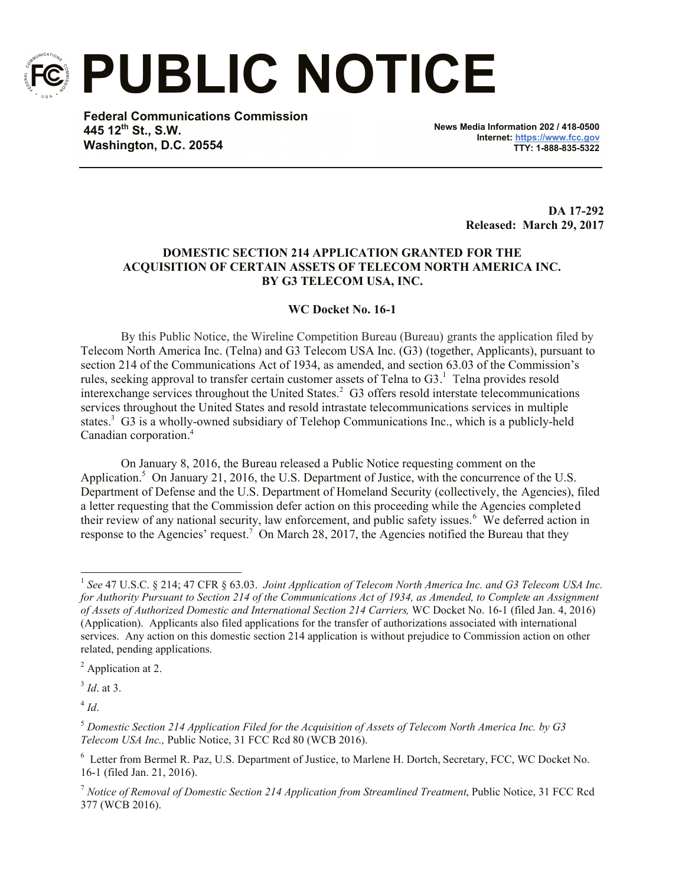

**PUBLIC NOTICE**

**Federal Communications Commission 445 12th St., S.W. Washington, D.C. 20554**

**News Media Information 202 / 418-0500 Internet: https://www.fcc.gov TTY: 1-888-835-5322**

> **DA 17-292 Released: March 29, 2017**

## **DOMESTIC SECTION 214 APPLICATION GRANTED FOR THE ACQUISITION OF CERTAIN ASSETS OF TELECOM NORTH AMERICA INC. BY G3 TELECOM USA, INC.**

## **WC Docket No. 16-1**

By this Public Notice, the Wireline Competition Bureau (Bureau) grants the application filed by Telecom North America Inc. (Telna) and G3 Telecom USA Inc. (G3) (together, Applicants), pursuant to section 214 of the Communications Act of 1934, as amended, and section 63.03 of the Commission's rules, seeking approval to transfer certain customer assets of Telna to  $G3$ . Telna provides resold interexchange services throughout the United States.<sup>2</sup> G3 offers resold interstate telecommunications services throughout the United States and resold intrastate telecommunications services in multiple states.<sup>3</sup> G3 is a wholly-owned subsidiary of Telehop Communications Inc., which is a publicly-held Canadian corporation. 4

On January 8, 2016, the Bureau released a Public Notice requesting comment on the Application.<sup>5</sup> On January 21, 2016, the U.S. Department of Justice, with the concurrence of the U.S. Department of Defense and the U.S. Department of Homeland Security (collectively, the Agencies), filed a letter requesting that the Commission defer action on this proceeding while the Agencies completed their review of any national security, law enforcement, and public safety issues.<sup>6</sup> We deferred action in response to the Agencies' request.<sup>7</sup> On March 28, 2017, the Agencies notified the Bureau that they

3 *Id*. at 3.

4 *Id*.

l

<sup>&</sup>lt;sup>1</sup> See 47 U.S.C. § 214; 47 CFR § 63.03. *Joint Application of Telecom North America Inc. and G3 Telecom USA Inc.* for Authority Pursuant to Section 214 of the Communications Act of 1934, as Amended, to Complete an Assignment *of Assets of Authorized Domestic and International Section 214 Carriers,* WC Docket No. 16-1 (filed Jan. 4, 2016) (Application). Applicants also filed applications for the transfer of authorizations associated with international services. Any action on this domestic section 214 application is without prejudice to Commission action on other related, pending applications.

<sup>2</sup> Application at 2.

<sup>5</sup> *Domestic Section 214 Application Filed for the Acquisition of Assets of Telecom North America Inc. by G3 Telecom USA Inc.,* Public Notice, 31 FCC Rcd 80 (WCB 2016).

<sup>&</sup>lt;sup>6</sup> Letter from Bermel R. Paz, U.S. Department of Justice, to Marlene H. Dortch, Secretary, FCC, WC Docket No. 16-1 (filed Jan. 21, 2016).

<sup>7</sup> *Notice of Removal of Domestic Section 214 Application from Streamlined Treatment*, Public Notice, 31 FCC Rcd 377 (WCB 2016).